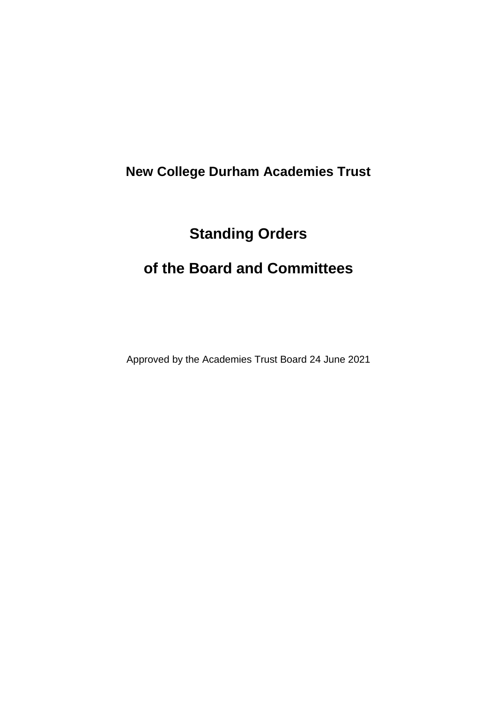# **New College Durham Academies Trust**

# **Standing Orders**

# **of the Board and Committees**

Approved by the Academies Trust Board 24 June 2021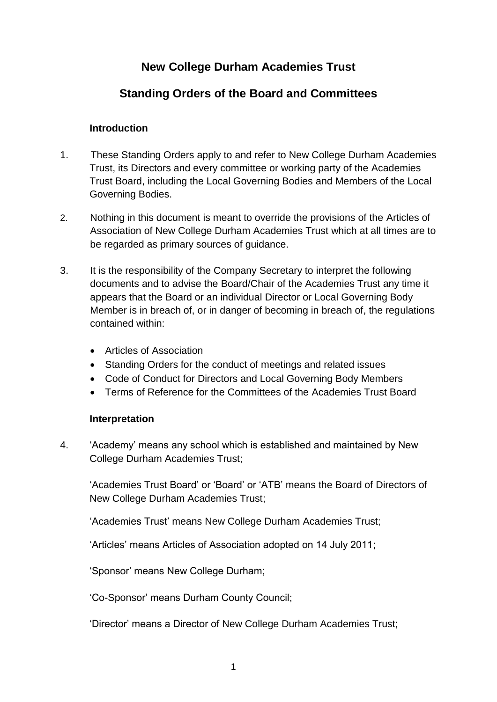## **New College Durham Academies Trust**

## **Standing Orders of the Board and Committees**

#### **Introduction**

- 1. These Standing Orders apply to and refer to New College Durham Academies Trust, its Directors and every committee or working party of the Academies Trust Board, including the Local Governing Bodies and Members of the Local Governing Bodies.
- 2. Nothing in this document is meant to override the provisions of the Articles of Association of New College Durham Academies Trust which at all times are to be regarded as primary sources of guidance.
- 3. It is the responsibility of the Company Secretary to interpret the following documents and to advise the Board/Chair of the Academies Trust any time it appears that the Board or an individual Director or Local Governing Body Member is in breach of, or in danger of becoming in breach of, the regulations contained within:
	- Articles of Association
	- Standing Orders for the conduct of meetings and related issues
	- Code of Conduct for Directors and Local Governing Body Members
	- Terms of Reference for the Committees of the Academies Trust Board

#### **Interpretation**

4. 'Academy' means any school which is established and maintained by New College Durham Academies Trust;

'Academies Trust Board' or 'Board' or 'ATB' means the Board of Directors of New College Durham Academies Trust;

'Academies Trust' means New College Durham Academies Trust;

'Articles' means Articles of Association adopted on 14 July 2011;

'Sponsor' means New College Durham;

'Co-Sponsor' means Durham County Council;

'Director' means a Director of New College Durham Academies Trust;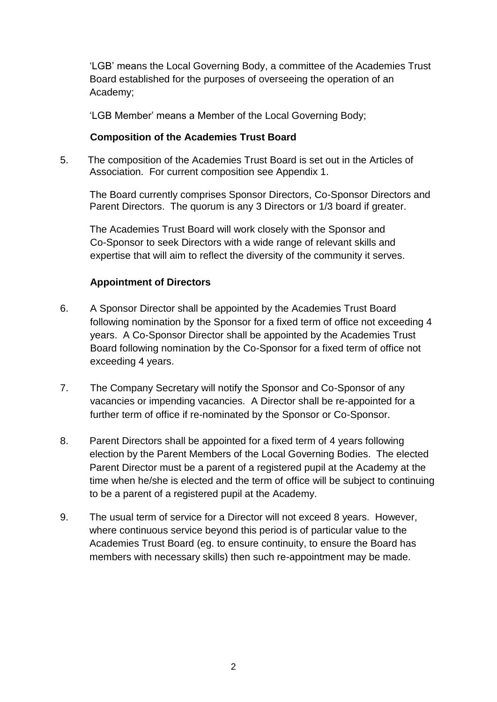'LGB' means the Local Governing Body, a committee of the Academies Trust Board established for the purposes of overseeing the operation of an Academy;

'LGB Member' means a Member of the Local Governing Body;

#### **Composition of the Academies Trust Board**

5.The composition of the Academies Trust Board is set out in the Articles of Association. For current composition see Appendix 1.

The Board currently comprises Sponsor Directors, Co-Sponsor Directors and Parent Directors. The quorum is any 3 Directors or 1/3 board if greater.

The Academies Trust Board will work closely with the Sponsor and Co-Sponsor to seek Directors with a wide range of relevant skills and expertise that will aim to reflect the diversity of the community it serves.

#### **Appointment of Directors**

- 6. A Sponsor Director shall be appointed by the Academies Trust Board following nomination by the Sponsor for a fixed term of office not exceeding 4 years. A Co-Sponsor Director shall be appointed by the Academies Trust Board following nomination by the Co-Sponsor for a fixed term of office not exceeding 4 years.
- 7. The Company Secretary will notify the Sponsor and Co-Sponsor of any vacancies or impending vacancies. A Director shall be re-appointed for a further term of office if re-nominated by the Sponsor or Co-Sponsor.
- 8. Parent Directors shall be appointed for a fixed term of 4 years following election by the Parent Members of the Local Governing Bodies. The elected Parent Director must be a parent of a registered pupil at the Academy at the time when he/she is elected and the term of office will be subject to continuing to be a parent of a registered pupil at the Academy.
- 9. The usual term of service for a Director will not exceed 8 years. However, where continuous service beyond this period is of particular value to the Academies Trust Board (eg. to ensure continuity, to ensure the Board has members with necessary skills) then such re-appointment may be made.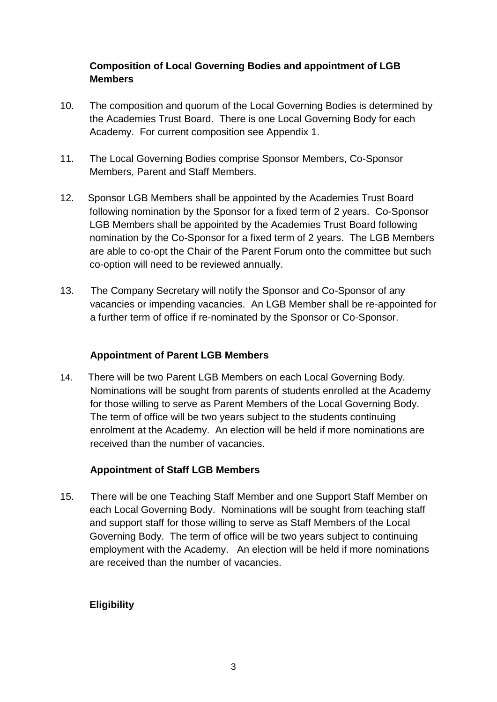#### **Composition of Local Governing Bodies and appointment of LGB Members**

- 10. The composition and quorum of the Local Governing Bodies is determined by the Academies Trust Board. There is one Local Governing Body for each Academy. For current composition see Appendix 1.
- 11. The Local Governing Bodies comprise Sponsor Members, Co-Sponsor Members, Parent and Staff Members.
- 12. Sponsor LGB Members shall be appointed by the Academies Trust Board following nomination by the Sponsor for a fixed term of 2 years. Co-Sponsor LGB Members shall be appointed by the Academies Trust Board following nomination by the Co-Sponsor for a fixed term of 2 years. The LGB Members are able to co-opt the Chair of the Parent Forum onto the committee but such co-option will need to be reviewed annually.
- 13. The Company Secretary will notify the Sponsor and Co-Sponsor of any vacancies or impending vacancies. An LGB Member shall be re-appointed for a further term of office if re-nominated by the Sponsor or Co-Sponsor.

#### **Appointment of Parent LGB Members**

14. There will be two Parent LGB Members on each Local Governing Body. Nominations will be sought from parents of students enrolled at the Academy for those willing to serve as Parent Members of the Local Governing Body. The term of office will be two years subject to the students continuing enrolment at the Academy. An election will be held if more nominations are received than the number of vacancies.

#### **Appointment of Staff LGB Members**

15. There will be one Teaching Staff Member and one Support Staff Member on each Local Governing Body. Nominations will be sought from teaching staff and support staff for those willing to serve as Staff Members of the Local Governing Body. The term of office will be two years subject to continuing employment with the Academy. An election will be held if more nominations are received than the number of vacancies.

### **Eligibility**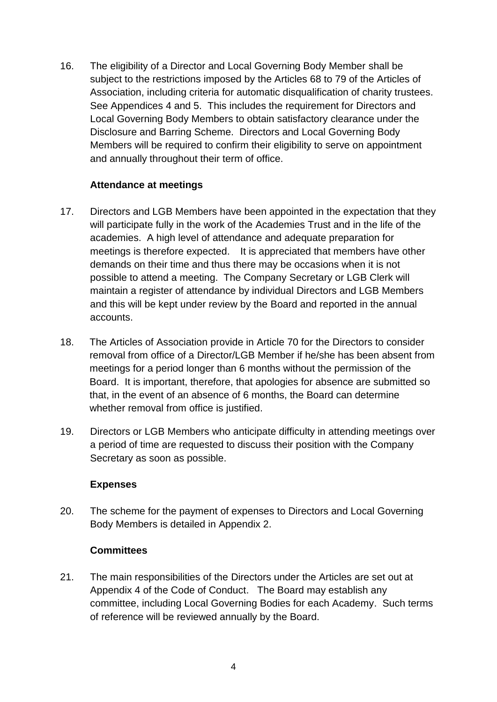16. The eligibility of a Director and Local Governing Body Member shall be subject to the restrictions imposed by the Articles 68 to 79 of the Articles of Association, including criteria for automatic disqualification of charity trustees. See Appendices 4 and 5. This includes the requirement for Directors and Local Governing Body Members to obtain satisfactory clearance under the Disclosure and Barring Scheme. Directors and Local Governing Body Members will be required to confirm their eligibility to serve on appointment and annually throughout their term of office.

#### **Attendance at meetings**

- 17. Directors and LGB Members have been appointed in the expectation that they will participate fully in the work of the Academies Trust and in the life of the academies. A high level of attendance and adequate preparation for meetings is therefore expected. It is appreciated that members have other demands on their time and thus there may be occasions when it is not possible to attend a meeting. The Company Secretary or LGB Clerk will maintain a register of attendance by individual Directors and LGB Members and this will be kept under review by the Board and reported in the annual accounts.
- 18. The Articles of Association provide in Article 70 for the Directors to consider removal from office of a Director/LGB Member if he/she has been absent from meetings for a period longer than 6 months without the permission of the Board. It is important, therefore, that apologies for absence are submitted so that, in the event of an absence of 6 months, the Board can determine whether removal from office is justified.
- 19. Directors or LGB Members who anticipate difficulty in attending meetings over a period of time are requested to discuss their position with the Company Secretary as soon as possible.

#### **Expenses**

20. The scheme for the payment of expenses to Directors and Local Governing Body Members is detailed in Appendix 2.

#### **Committees**

21. The main responsibilities of the Directors under the Articles are set out at Appendix 4 of the Code of Conduct. The Board may establish any committee, including Local Governing Bodies for each Academy. Such terms of reference will be reviewed annually by the Board.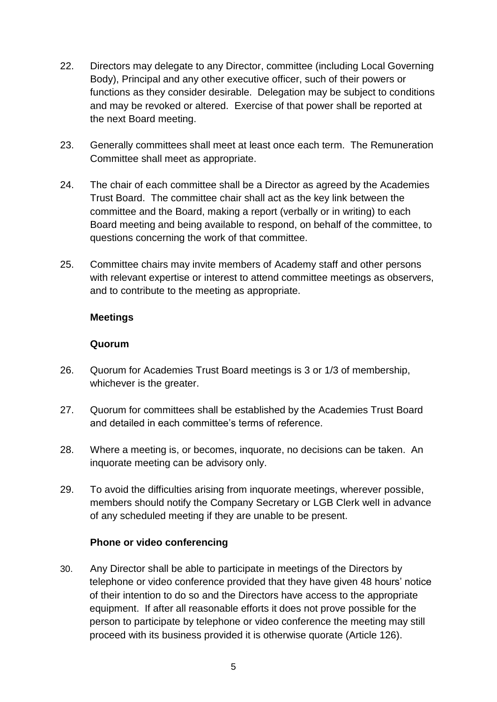- 22. Directors may delegate to any Director, committee (including Local Governing Body), Principal and any other executive officer, such of their powers or functions as they consider desirable. Delegation may be subject to conditions and may be revoked or altered. Exercise of that power shall be reported at the next Board meeting.
- 23. Generally committees shall meet at least once each term. The Remuneration Committee shall meet as appropriate.
- 24. The chair of each committee shall be a Director as agreed by the Academies Trust Board. The committee chair shall act as the key link between the committee and the Board, making a report (verbally or in writing) to each Board meeting and being available to respond, on behalf of the committee, to questions concerning the work of that committee.
- 25. Committee chairs may invite members of Academy staff and other persons with relevant expertise or interest to attend committee meetings as observers, and to contribute to the meeting as appropriate.

#### **Meetings**

#### **Quorum**

- 26. Quorum for Academies Trust Board meetings is 3 or 1/3 of membership, whichever is the greater.
- 27. Quorum for committees shall be established by the Academies Trust Board and detailed in each committee's terms of reference.
- 28. Where a meeting is, or becomes, inquorate, no decisions can be taken. An inquorate meeting can be advisory only.
- 29. To avoid the difficulties arising from inquorate meetings, wherever possible, members should notify the Company Secretary or LGB Clerk welI in advance of any scheduled meeting if they are unable to be present.

#### **Phone or video conferencing**

30. Any Director shall be able to participate in meetings of the Directors by telephone or video conference provided that they have given 48 hours' notice of their intention to do so and the Directors have access to the appropriate equipment. If after all reasonable efforts it does not prove possible for the person to participate by telephone or video conference the meeting may still proceed with its business provided it is otherwise quorate (Article 126).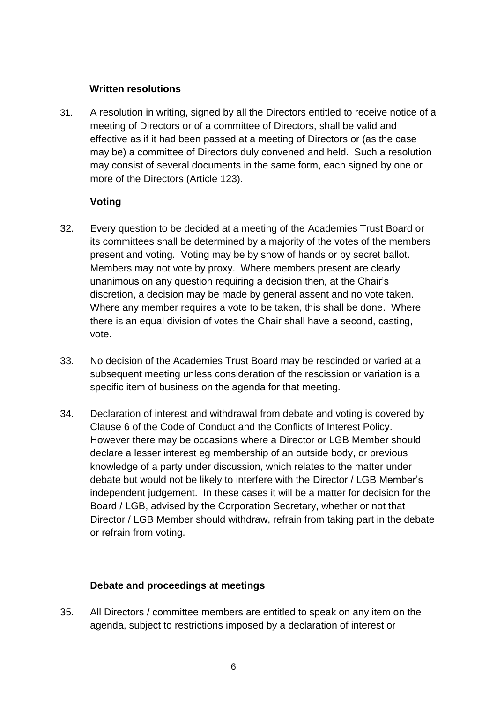#### **Written resolutions**

31. A resolution in writing, signed by all the Directors entitled to receive notice of a meeting of Directors or of a committee of Directors, shall be valid and effective as if it had been passed at a meeting of Directors or (as the case may be) a committee of Directors duly convened and held. Such a resolution may consist of several documents in the same form, each signed by one or more of the Directors (Article 123).

#### **Voting**

- 32. Every question to be decided at a meeting of the Academies Trust Board or its committees shall be determined by a majority of the votes of the members present and voting. Voting may be by show of hands or by secret ballot. Members may not vote by proxy. Where members present are clearly unanimous on any question requiring a decision then, at the Chair's discretion, a decision may be made by general assent and no vote taken. Where any member requires a vote to be taken, this shall be done. Where there is an equal division of votes the Chair shall have a second, casting, vote.
- 33. No decision of the Academies Trust Board may be rescinded or varied at a subsequent meeting unless consideration of the rescission or variation is a specific item of business on the agenda for that meeting.
- 34. Declaration of interest and withdrawal from debate and voting is covered by Clause 6 of the Code of Conduct and the Conflicts of Interest Policy. However there may be occasions where a Director or LGB Member should declare a lesser interest eg membership of an outside body, or previous knowledge of a party under discussion, which relates to the matter under debate but would not be likely to interfere with the Director / LGB Member's independent judgement. In these cases it will be a matter for decision for the Board / LGB, advised by the Corporation Secretary, whether or not that Director / LGB Member should withdraw, refrain from taking part in the debate or refrain from voting.

#### **Debate and proceedings at meetings**

35. All Directors / committee members are entitled to speak on any item on the agenda, subject to restrictions imposed by a declaration of interest or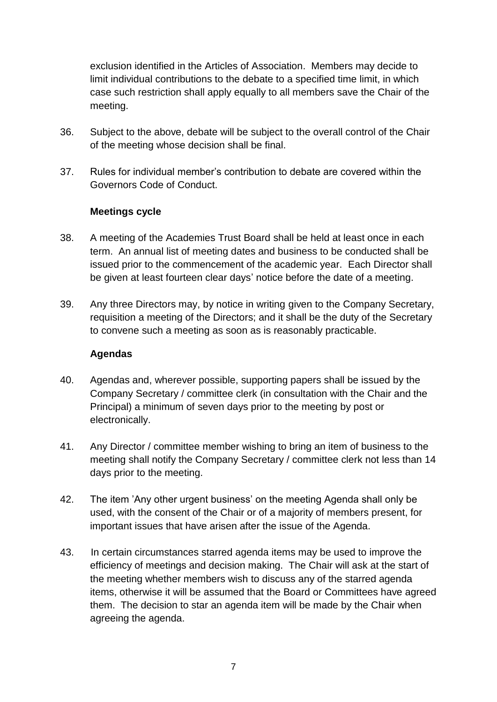exclusion identified in the Articles of Association. Members may decide to limit individual contributions to the debate to a specified time limit, in which case such restriction shall apply equally to all members save the Chair of the meeting.

- 36. Subject to the above, debate will be subject to the overall control of the Chair of the meeting whose decision shall be final.
- 37. Rules for individual member's contribution to debate are covered within the Governors Code of Conduct.

#### **Meetings cycle**

- 38. A meeting of the Academies Trust Board shall be held at least once in each term. An annual list of meeting dates and business to be conducted shall be issued prior to the commencement of the academic year. Each Director shall be given at least fourteen clear days' notice before the date of a meeting.
- 39. Any three Directors may, by notice in writing given to the Company Secretary, requisition a meeting of the Directors; and it shall be the duty of the Secretary to convene such a meeting as soon as is reasonably practicable.

#### **Agendas**

- 40. Agendas and, wherever possible, supporting papers shall be issued by the Company Secretary / committee clerk (in consultation with the Chair and the Principal) a minimum of seven days prior to the meeting by post or electronically.
- 41. Any Director / committee member wishing to bring an item of business to the meeting shall notify the Company Secretary / committee clerk not less than 14 days prior to the meeting.
- 42. The item 'Any other urgent business' on the meeting Agenda shall only be used, with the consent of the Chair or of a majority of members present, for important issues that have arisen after the issue of the Agenda.
- 43. In certain circumstances starred agenda items may be used to improve the efficiency of meetings and decision making. The Chair will ask at the start of the meeting whether members wish to discuss any of the starred agenda items, otherwise it will be assumed that the Board or Committees have agreed them. The decision to star an agenda item will be made by the Chair when agreeing the agenda.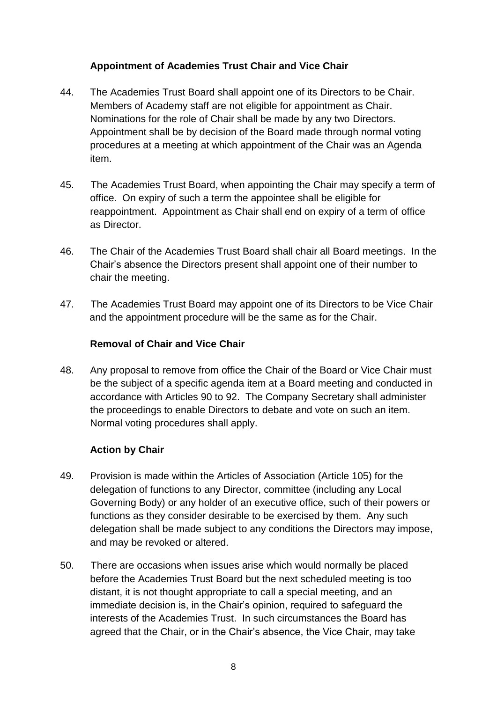#### **Appointment of Academies Trust Chair and Vice Chair**

- 44. The Academies Trust Board shall appoint one of its Directors to be Chair. Members of Academy staff are not eligible for appointment as Chair. Nominations for the role of Chair shall be made by any two Directors. Appointment shall be by decision of the Board made through normal voting procedures at a meeting at which appointment of the Chair was an Agenda item.
- 45. The Academies Trust Board, when appointing the Chair may specify a term of office. On expiry of such a term the appointee shall be eligible for reappointment. Appointment as Chair shall end on expiry of a term of office as Director.
- 46. The Chair of the Academies Trust Board shall chair all Board meetings. In the Chair's absence the Directors present shall appoint one of their number to chair the meeting.
- 47. The Academies Trust Board may appoint one of its Directors to be Vice Chair and the appointment procedure will be the same as for the Chair.

#### **Removal of Chair and Vice Chair**

48. Any proposal to remove from office the Chair of the Board or Vice Chair must be the subject of a specific agenda item at a Board meeting and conducted in accordance with Articles 90 to 92. The Company Secretary shall administer the proceedings to enable Directors to debate and vote on such an item. Normal voting procedures shall apply.

#### **Action by Chair**

- 49. Provision is made within the Articles of Association (Article 105) for the delegation of functions to any Director, committee (including any Local Governing Body) or any holder of an executive office, such of their powers or functions as they consider desirable to be exercised by them. Any such delegation shall be made subject to any conditions the Directors may impose, and may be revoked or altered.
- 50. There are occasions when issues arise which would normally be placed before the Academies Trust Board but the next scheduled meeting is too distant, it is not thought appropriate to call a special meeting, and an immediate decision is, in the Chair's opinion, required to safeguard the interests of the Academies Trust. In such circumstances the Board has agreed that the Chair, or in the Chair's absence, the Vice Chair, may take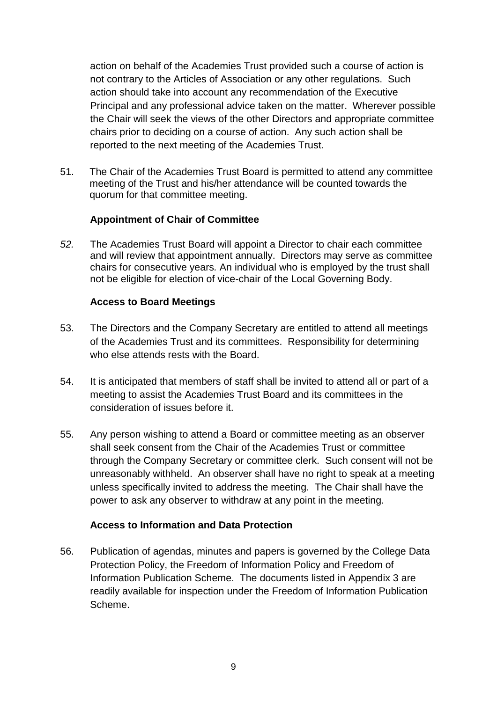action on behalf of the Academies Trust provided such a course of action is not contrary to the Articles of Association or any other regulations. Such action should take into account any recommendation of the Executive Principal and any professional advice taken on the matter. Wherever possible the Chair will seek the views of the other Directors and appropriate committee chairs prior to deciding on a course of action. Any such action shall be reported to the next meeting of the Academies Trust.

51. The Chair of the Academies Trust Board is permitted to attend any committee meeting of the Trust and his/her attendance will be counted towards the quorum for that committee meeting.

#### **Appointment of Chair of Committee**

*52.* The Academies Trust Board will appoint a Director to chair each committee and will review that appointment annually. Directors may serve as committee chairs for consecutive years*.* An individual who is employed by the trust shall not be eligible for election of vice-chair of the Local Governing Body.

#### **Access to Board Meetings**

- 53. The Directors and the Company Secretary are entitled to attend all meetings of the Academies Trust and its committees. Responsibility for determining who else attends rests with the Board.
- 54. It is anticipated that members of staff shall be invited to attend all or part of a meeting to assist the Academies Trust Board and its committees in the consideration of issues before it.
- 55. Any person wishing to attend a Board or committee meeting as an observer shall seek consent from the Chair of the Academies Trust or committee through the Company Secretary or committee clerk. Such consent will not be unreasonably withheld. An observer shall have no right to speak at a meeting unless specifically invited to address the meeting. The Chair shall have the power to ask any observer to withdraw at any point in the meeting.

#### **Access to Information and Data Protection**

56. Publication of agendas, minutes and papers is governed by the College Data Protection Policy, the Freedom of Information Policy and Freedom of Information Publication Scheme. The documents listed in Appendix 3 are readily available for inspection under the Freedom of Information Publication Scheme.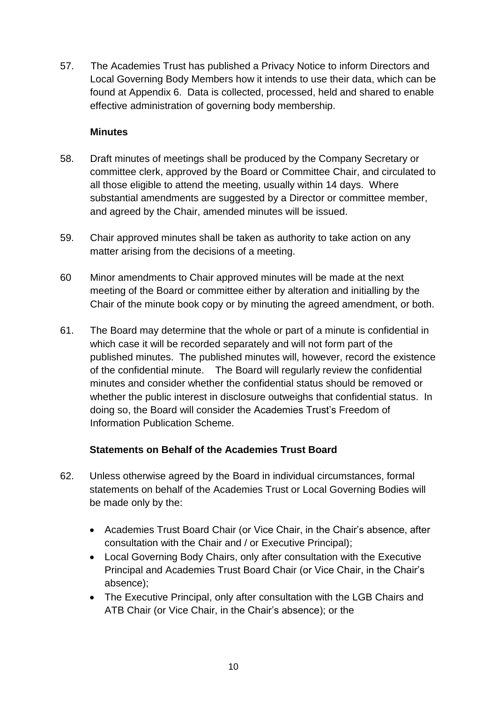57. The Academies Trust has published a Privacy Notice to inform Directors and Local Governing Body Members how it intends to use their data, which can be found at Appendix 6. Data is collected, processed, held and shared to enable effective administration of governing body membership.

#### **Minutes**

- 58. Draft minutes of meetings shall be produced by the Company Secretary or committee clerk, approved by the Board or Committee Chair, and circulated to all those eligible to attend the meeting, usually within 14 days. Where substantial amendments are suggested by a Director or committee member, and agreed by the Chair, amended minutes will be issued.
- 59. Chair approved minutes shall be taken as authority to take action on any matter arising from the decisions of a meeting.
- 60 Minor amendments to Chair approved minutes will be made at the next meeting of the Board or committee either by alteration and initialling by the Chair of the minute book copy or by minuting the agreed amendment, or both.
- 61. The Board may determine that the whole or part of a minute is confidential in which case it will be recorded separately and will not form part of the published minutes. The published minutes will, however, record the existence of the confidential minute. The Board will regularly review the confidential minutes and consider whether the confidential status should be removed or whether the public interest in disclosure outweighs that confidential status. In doing so, the Board will consider the Academies Trust's Freedom of Information Publication Scheme.

#### **Statements on Behalf of the Academies Trust Board**

- 62. Unless otherwise agreed by the Board in individual circumstances, formal statements on behalf of the Academies Trust or Local Governing Bodies will be made only by the:
	- Academies Trust Board Chair (or Vice Chair, in the Chair's absence, after consultation with the Chair and / or Executive Principal);
	- Local Governing Body Chairs, only after consultation with the Executive Principal and Academies Trust Board Chair (or Vice Chair, in the Chair's absence);
	- The Executive Principal, only after consultation with the LGB Chairs and ATB Chair (or Vice Chair, in the Chair's absence); or the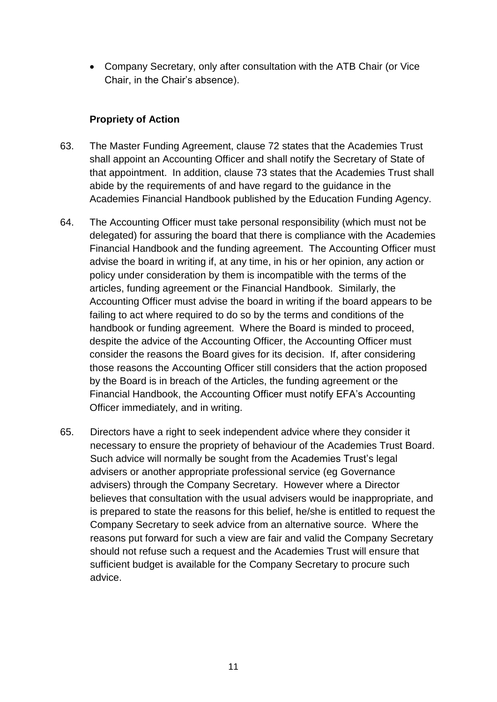• Company Secretary, only after consultation with the ATB Chair (or Vice Chair, in the Chair's absence).

#### **Propriety of Action**

- 63. The Master Funding Agreement, clause 72 states that the Academies Trust shall appoint an Accounting Officer and shall notify the Secretary of State of that appointment. In addition, clause 73 states that the Academies Trust shall abide by the requirements of and have regard to the guidance in the Academies Financial Handbook published by the Education Funding Agency.
- 64. The Accounting Officer must take personal responsibility (which must not be delegated) for assuring the board that there is compliance with the Academies Financial Handbook and the funding agreement. The Accounting Officer must advise the board in writing if, at any time, in his or her opinion, any action or policy under consideration by them is incompatible with the terms of the articles, funding agreement or the Financial Handbook. Similarly, the Accounting Officer must advise the board in writing if the board appears to be failing to act where required to do so by the terms and conditions of the handbook or funding agreement. Where the Board is minded to proceed, despite the advice of the Accounting Officer, the Accounting Officer must consider the reasons the Board gives for its decision. If, after considering those reasons the Accounting Officer still considers that the action proposed by the Board is in breach of the Articles, the funding agreement or the Financial Handbook, the Accounting Officer must notify EFA's Accounting Officer immediately, and in writing.
- 65. Directors have a right to seek independent advice where they consider it necessary to ensure the propriety of behaviour of the Academies Trust Board. Such advice will normally be sought from the Academies Trust's legal advisers or another appropriate professional service (eg Governance advisers) through the Company Secretary. However where a Director believes that consultation with the usual advisers would be inappropriate, and is prepared to state the reasons for this belief, he/she is entitled to request the Company Secretary to seek advice from an alternative source. Where the reasons put forward for such a view are fair and valid the Company Secretary should not refuse such a request and the Academies Trust will ensure that sufficient budget is available for the Company Secretary to procure such advice.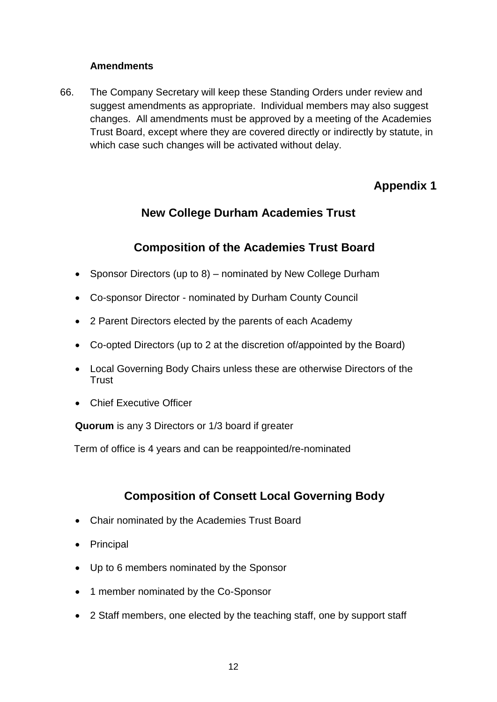#### **Amendments**

66. The Company Secretary will keep these Standing Orders under review and suggest amendments as appropriate. Individual members may also suggest changes. All amendments must be approved by a meeting of the Academies Trust Board, except where they are covered directly or indirectly by statute, in which case such changes will be activated without delay.

# **Appendix 1**

# **New College Durham Academies Trust**

## **Composition of the Academies Trust Board**

- Sponsor Directors (up to 8) nominated by New College Durham
- Co-sponsor Director nominated by Durham County Council
- 2 Parent Directors elected by the parents of each Academy
- Co-opted Directors (up to 2 at the discretion of/appointed by the Board)
- Local Governing Body Chairs unless these are otherwise Directors of the **Trust**
- Chief Executive Officer

**Quorum** is any 3 Directors or 1/3 board if greater

Term of office is 4 years and can be reappointed/re-nominated

## **Composition of Consett Local Governing Body**

- Chair nominated by the Academies Trust Board
- Principal
- Up to 6 members nominated by the Sponsor
- 1 member nominated by the Co-Sponsor
- 2 Staff members, one elected by the teaching staff, one by support staff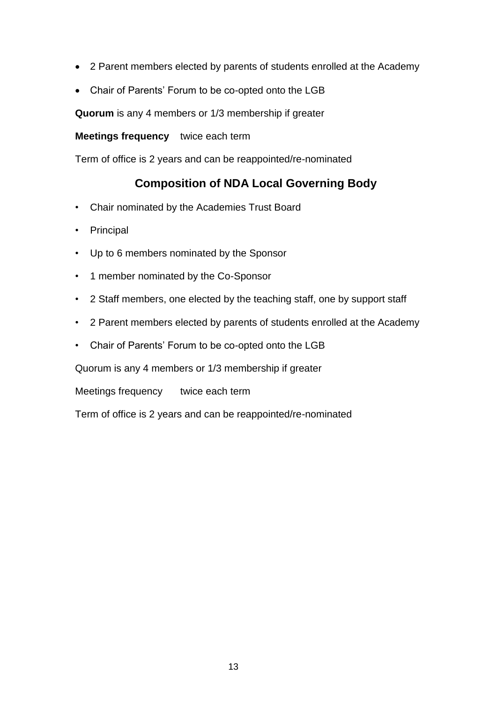- 2 Parent members elected by parents of students enrolled at the Academy
- Chair of Parents' Forum to be co-opted onto the LGB

**Quorum** is any 4 members or 1/3 membership if greater

**Meetings frequency** twice each term

Term of office is 2 years and can be reappointed/re-nominated

### **Composition of NDA Local Governing Body**

- Chair nominated by the Academies Trust Board
- Principal
- Up to 6 members nominated by the Sponsor
- 1 member nominated by the Co-Sponsor
- 2 Staff members, one elected by the teaching staff, one by support staff
- 2 Parent members elected by parents of students enrolled at the Academy
- Chair of Parents' Forum to be co-opted onto the LGB

Quorum is any 4 members or 1/3 membership if greater

Meetings frequency twice each term

Term of office is 2 years and can be reappointed/re-nominated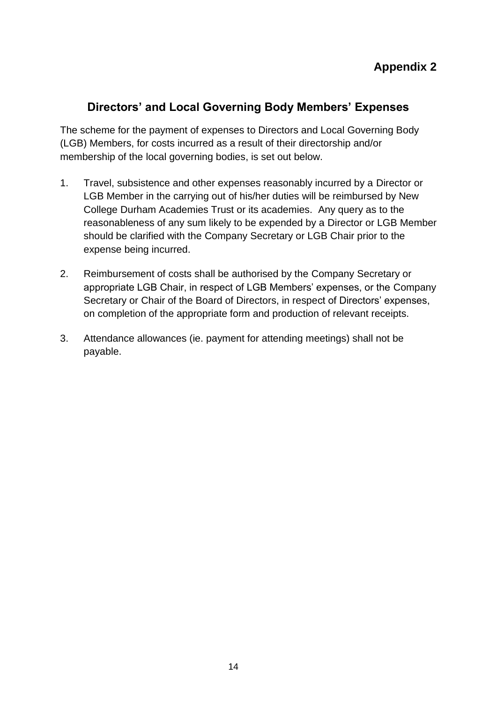## **Directors' and Local Governing Body Members' Expenses**

The scheme for the payment of expenses to Directors and Local Governing Body (LGB) Members, for costs incurred as a result of their directorship and/or membership of the local governing bodies, is set out below.

- 1. Travel, subsistence and other expenses reasonably incurred by a Director or LGB Member in the carrying out of his/her duties will be reimbursed by New College Durham Academies Trust or its academies. Any query as to the reasonableness of any sum likely to be expended by a Director or LGB Member should be clarified with the Company Secretary or LGB Chair prior to the expense being incurred.
- 2. Reimbursement of costs shall be authorised by the Company Secretary or appropriate LGB Chair, in respect of LGB Members' expenses, or the Company Secretary or Chair of the Board of Directors, in respect of Directors' expenses, on completion of the appropriate form and production of relevant receipts.
- 3. Attendance allowances (ie. payment for attending meetings) shall not be payable.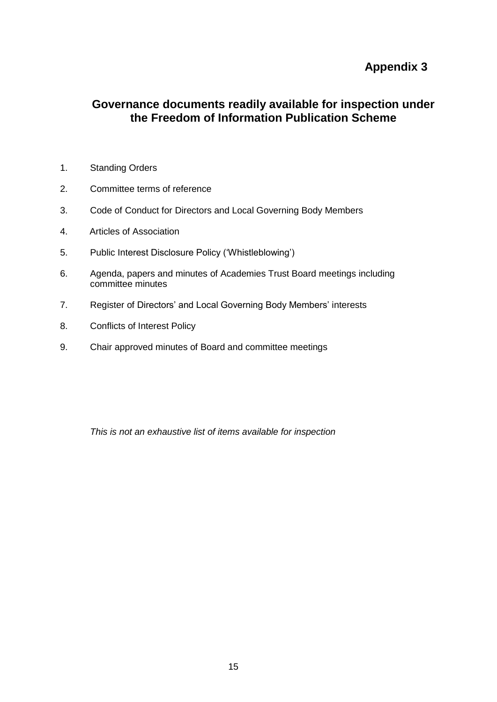### **Appendix 3**

### **Governance documents readily available for inspection under the Freedom of Information Publication Scheme**

- 1. Standing Orders
- 2. Committee terms of reference
- 3. Code of Conduct for Directors and Local Governing Body Members
- 4. Articles of Association
- 5. Public Interest Disclosure Policy ('Whistleblowing')
- 6. Agenda, papers and minutes of Academies Trust Board meetings including committee minutes
- 7. Register of Directors' and Local Governing Body Members' interests
- 8. Conflicts of Interest Policy
- 9. Chair approved minutes of Board and committee meetings

*This is not an exhaustive list of items available for inspection*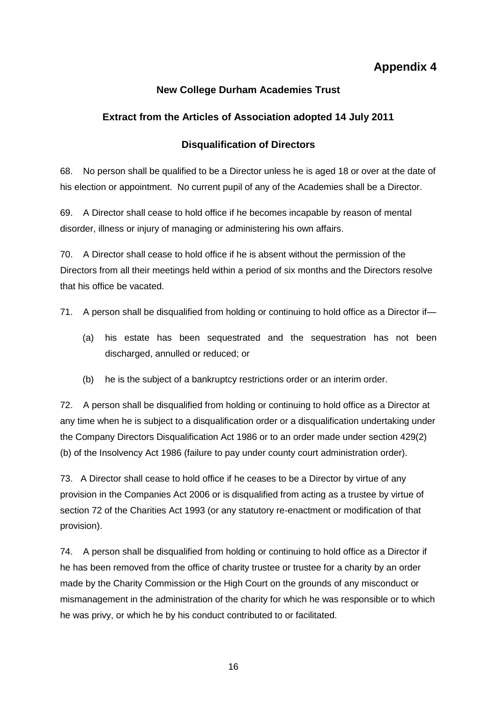## **Appendix 4**

### **New College Durham Academies Trust**

#### **Extract from the Articles of Association adopted 14 July 2011**

#### **Disqualification of Directors**

68. No person shall be qualified to be a Director unless he is aged 18 or over at the date of his election or appointment. No current pupil of any of the Academies shall be a Director.

69. A Director shall cease to hold office if he becomes incapable by reason of mental disorder, illness or injury of managing or administering his own affairs.

70. A Director shall cease to hold office if he is absent without the permission of the Directors from all their meetings held within a period of six months and the Directors resolve that his office be vacated.

71. A person shall be disqualified from holding or continuing to hold office as a Director if-

- (a) his estate has been sequestrated and the sequestration has not been discharged, annulled or reduced; or
- (b) he is the subject of a bankruptcy restrictions order or an interim order.

72. A person shall be disqualified from holding or continuing to hold office as a Director at any time when he is subject to a disqualification order or a disqualification undertaking under the Company Directors Disqualification Act 1986 or to an order made under section 429(2) (b) of the Insolvency Act 1986 (failure to pay under county court administration order).

73. A Director shall cease to hold office if he ceases to be a Director by virtue of any provision in the Companies Act 2006 or is disqualified from acting as a trustee by virtue of section 72 of the Charities Act 1993 (or any statutory re-enactment or modification of that provision).

74. A person shall be disqualified from holding or continuing to hold office as a Director if he has been removed from the office of charity trustee or trustee for a charity by an order made by the Charity Commission or the High Court on the grounds of any misconduct or mismanagement in the administration of the charity for which he was responsible or to which he was privy, or which he by his conduct contributed to or facilitated.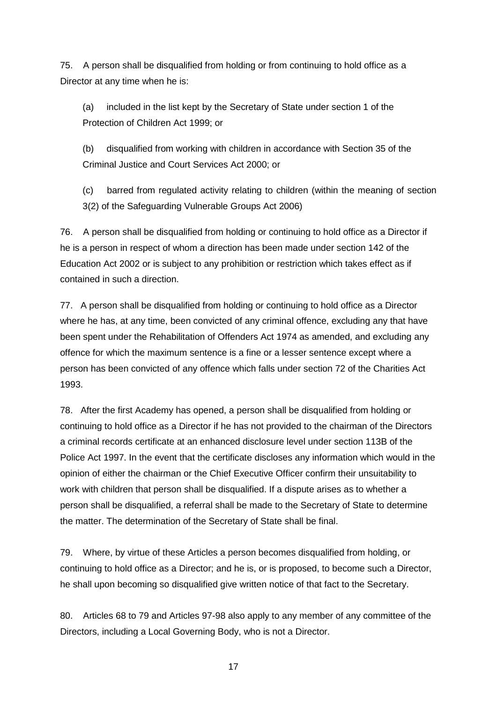75. A person shall be disqualified from holding or from continuing to hold office as a Director at any time when he is:

(a) included in the list kept by the Secretary of State under section 1 of the Protection of Children Act 1999; or

(b) disqualified from working with children in accordance with Section 35 of the Criminal Justice and Court Services Act 2000; or

(c) barred from regulated activity relating to children (within the meaning of section 3(2) of the Safeguarding Vulnerable Groups Act 2006)

76. A person shall be disqualified from holding or continuing to hold office as a Director if he is a person in respect of whom a direction has been made under section 142 of the Education Act 2002 or is subject to any prohibition or restriction which takes effect as if contained in such a direction.

77. A person shall be disqualified from holding or continuing to hold office as a Director where he has, at any time, been convicted of any criminal offence, excluding any that have been spent under the Rehabilitation of Offenders Act 1974 as amended, and excluding any offence for which the maximum sentence is a fine or a lesser sentence except where a person has been convicted of any offence which falls under section 72 of the Charities Act 1993.

78. After the first Academy has opened, a person shall be disqualified from holding or continuing to hold office as a Director if he has not provided to the chairman of the Directors a criminal records certificate at an enhanced disclosure level under section 113B of the Police Act 1997. In the event that the certificate discloses any information which would in the opinion of either the chairman or the Chief Executive Officer confirm their unsuitability to work with children that person shall be disqualified. If a dispute arises as to whether a person shall be disqualified, a referral shall be made to the Secretary of State to determine the matter. The determination of the Secretary of State shall be final.

79. Where, by virtue of these Articles a person becomes disqualified from holding, or continuing to hold office as a Director; and he is, or is proposed, to become such a Director, he shall upon becoming so disqualified give written notice of that fact to the Secretary.

80. Articles 68 to 79 and Articles 97-98 also apply to any member of any committee of the Directors, including a Local Governing Body, who is not a Director.

17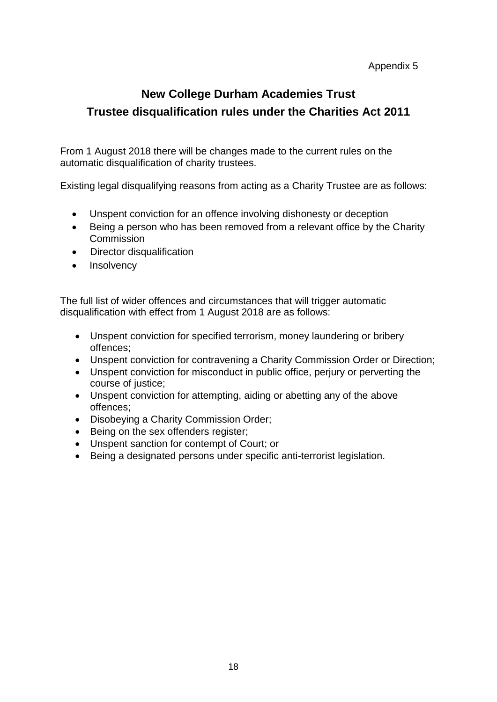#### Appendix 5

# **New College Durham Academies Trust Trustee disqualification rules under the Charities Act 2011**

From 1 August 2018 there will be changes made to the current rules on the automatic disqualification of charity trustees.

Existing legal disqualifying reasons from acting as a Charity Trustee are as follows:

- Unspent conviction for an offence involving dishonesty or deception
- Being a person who has been removed from a relevant office by the Charity Commission
- Director disqualification
- Insolvency

The full list of wider offences and circumstances that will trigger automatic disqualification with effect from 1 August 2018 are as follows:

- Unspent conviction for specified terrorism, money laundering or bribery offences;
- Unspent conviction for contravening a Charity Commission Order or Direction;
- Unspent conviction for misconduct in public office, perjury or perverting the course of justice;
- Unspent conviction for attempting, aiding or abetting any of the above offences;
- Disobeying a Charity Commission Order;
- Being on the sex offenders register;
- Unspent sanction for contempt of Court; or
- Being a designated persons under specific anti-terrorist legislation.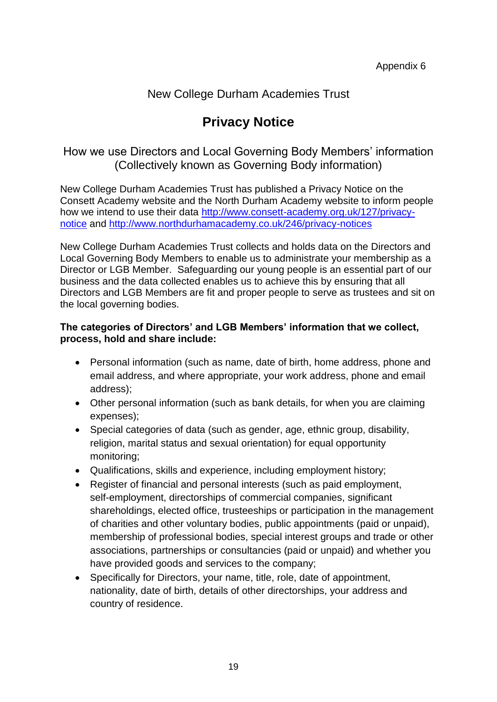### New College Durham Academies Trust

# **Privacy Notice**

How we use Directors and Local Governing Body Members' information (Collectively known as Governing Body information)

New College Durham Academies Trust has published a Privacy Notice on the Consett Academy website and the North Durham Academy website to inform people how we intend to use their data [http://www.consett-academy.org.uk/127/privacy](http://www.consett-academy.org.uk/127/privacy-notice)[notice](http://www.consett-academy.org.uk/127/privacy-notice) and<http://www.northdurhamacademy.co.uk/246/privacy-notices>

New College Durham Academies Trust collects and holds data on the Directors and Local Governing Body Members to enable us to administrate your membership as a Director or LGB Member. Safeguarding our young people is an essential part of our business and the data collected enables us to achieve this by ensuring that all Directors and LGB Members are fit and proper people to serve as trustees and sit on the local governing bodies.

#### **The categories of Directors' and LGB Members' information that we collect, process, hold and share include:**

- Personal information (such as name, date of birth, home address, phone and email address, and where appropriate, your work address, phone and email address);
- Other personal information (such as bank details, for when you are claiming expenses);
- Special categories of data (such as gender, age, ethnic group, disability, religion, marital status and sexual orientation) for equal opportunity monitoring;
- Qualifications, skills and experience, including employment history;
- Register of financial and personal interests (such as paid employment, self-employment, directorships of commercial companies, significant shareholdings, elected office, trusteeships or participation in the management of charities and other voluntary bodies, public appointments (paid or unpaid), membership of professional bodies, special interest groups and trade or other associations, partnerships or consultancies (paid or unpaid) and whether you have provided goods and services to the company;
- Specifically for Directors, your name, title, role, date of appointment, nationality, date of birth, details of other directorships, your address and country of residence.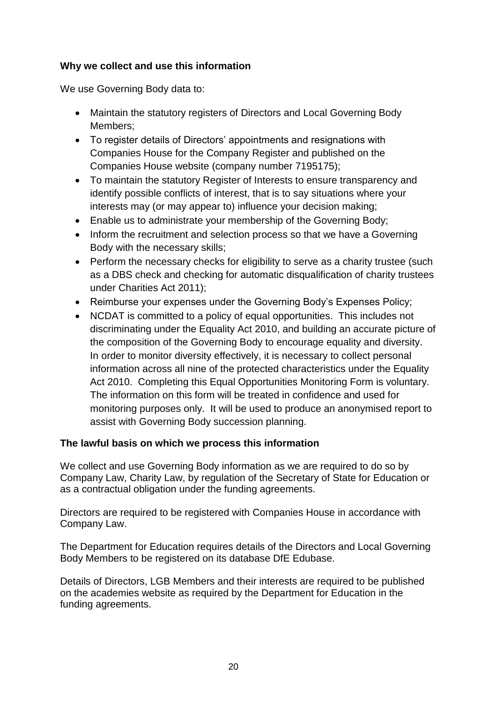#### **Why we collect and use this information**

We use Governing Body data to:

- Maintain the statutory registers of Directors and Local Governing Body Members;
- To register details of Directors' appointments and resignations with Companies House for the Company Register and published on the Companies House website (company number 7195175);
- To maintain the statutory Register of Interests to ensure transparency and identify possible conflicts of interest, that is to say situations where your interests may (or may appear to) influence your decision making;
- Enable us to administrate your membership of the Governing Body;
- Inform the recruitment and selection process so that we have a Governing Body with the necessary skills;
- Perform the necessary checks for eligibility to serve as a charity trustee (such as a DBS check and checking for automatic disqualification of charity trustees under Charities Act 2011);
- Reimburse your expenses under the Governing Body's Expenses Policy;
- NCDAT is committed to a policy of equal opportunities. This includes not discriminating under the Equality Act 2010, and building an accurate picture of the composition of the Governing Body to encourage equality and diversity. In order to monitor diversity effectively, it is necessary to collect personal information across all nine of the protected characteristics under the Equality Act 2010. Completing this Equal Opportunities Monitoring Form is voluntary. The information on this form will be treated in confidence and used for monitoring purposes only. It will be used to produce an anonymised report to assist with Governing Body succession planning.

#### **The lawful basis on which we process this information**

We collect and use Governing Body information as we are required to do so by Company Law, Charity Law, by regulation of the Secretary of State for Education or as a contractual obligation under the funding agreements.

Directors are required to be registered with Companies House in accordance with Company Law.

The Department for Education requires details of the Directors and Local Governing Body Members to be registered on its database DfE Edubase.

Details of Directors, LGB Members and their interests are required to be published on the academies website as required by the Department for Education in the funding agreements.